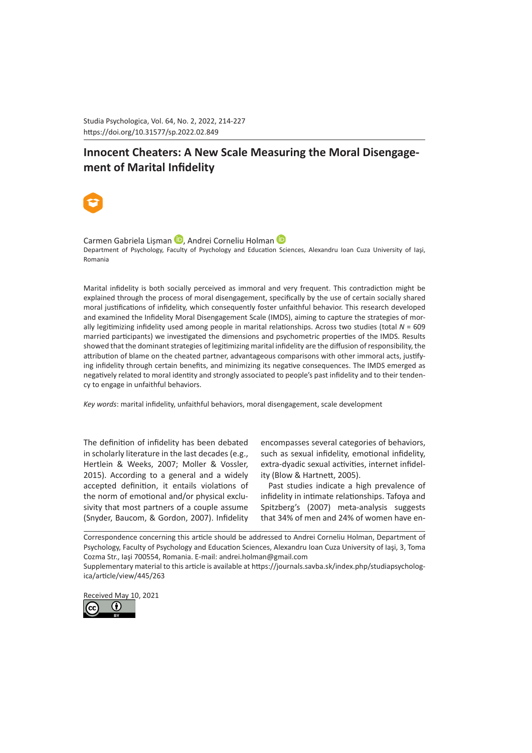Studia Psychologica, Vol. 64, No. 2, 2022, 214-227 https://doi.org/10.31577/sp.2022.02.849 

# **Innocent Cheaters: A New Scale Measuring the Moral Disengagement of Marital Infidelity**



Carme[n](https://orcid.org/0000-0001-9309-3821) Gabriela Lisman **D**. Andrei Corneliu Holman **D** Department of Psychology, Faculty of Psychology and Education Sciences, Alexandru Ioan Cuza University of Iaşi, Romania

Marital infidelity is both socially perceived as immoral and very frequent. This contradiction might be explained through the process of moral disengagement, specifically by the use of certain socially shared moral justifications of infidelity, which consequently foster unfaithful behavior. This research developed and examined the Infidelity Moral Disengagement Scale (IMDS), aiming to capture the strategies of morally legitimizing infidelity used among people in marital relationships. Across two studies (total *N* = 609 married participants) we investigated the dimensions and psychometric properties of the IMDS. Results showed that the dominant strategies of legitimizing marital infidelity are the diffusion of responsibility, the attribution of blame on the cheated partner, advantageous comparisons with other immoral acts, justifying infidelity through certain benefits, and minimizing its negative consequences. The IMDS emerged as negatively related to moral identity and strongly associated to people's past infidelity and to their tendency to engage in unfaithful behaviors.

*Key words*: marital infidelity, unfaithful behaviors, moral disengagement, scale development

The definition of infidelity has been debated in scholarly literature in the last decades (e.g., Hertlein & Weeks, 2007; Moller & Vossler, 2015). According to a general and a widely accepted definition, it entails violations of the norm of emotional and/or physical exclusivity that most partners of a couple assume (Snyder, Baucom, & Gordon, 2007). Infidelity encompasses several categories of behaviors, such as sexual infidelity, emotional infidelity, extra-dyadic sexual activities, internet infidelity (Blow & Hartnett, 2005).

Past studies indicate a high prevalence of infidelity in intimate relationships. Tafoya and Spitzberg's (2007) meta-analysis suggests that 34% of men and 24% of women have en-

Correspondence concerning this article should be addressed to Andrei Corneliu Holman, Department of Psychology, Faculty of Psychology and Education Sciences, Alexandru Ioan Cuza University of Iaşi, 3, Toma Cozma Str., Iaşi 700554, Romania. E-mail: andrei.holman@gmail.com

Supplementary material to this article is available at https://journals.savba.sk/index.php/studiapsychologica/article/view/445/263

Received May 10, 2021

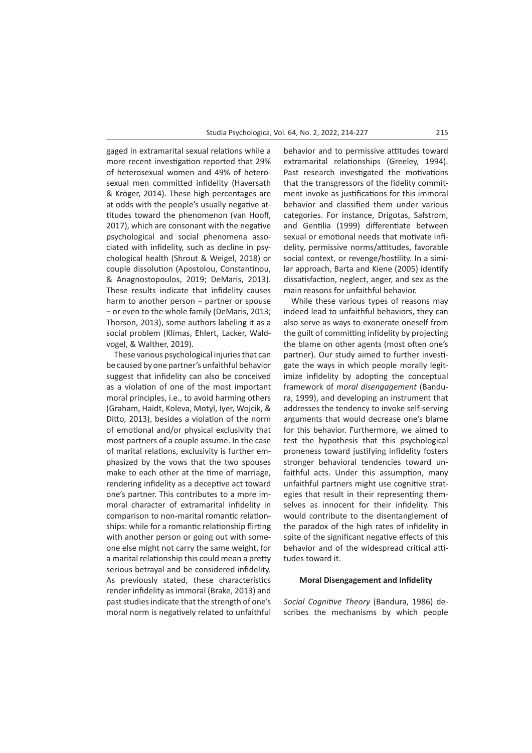gaged in extramarital sexual relations while a more recent investigation reported that 29% of heterosexual women and 49% of heterosexual men committed infidelity (Haversath & Kröger, 2014). These high percentages are at odds with the people's usually negative attitudes toward the phenomenon (van Hooff, 2017), which are consonant with the negative psychological and social phenomena associated with infidelity, such as decline in psychological health (Shrout & Weigel, 2018) or couple dissolution (Apostolou, Constantinou, & Anagnostopoulos, 2019; DeMaris, 2013). These results indicate that infidelity causes harm to another person − partner or spouse − or even to the whole family (DeMaris, 2013; Thorson, 2013), some authors labeling it as a social problem (Klimas, Ehlert, Lacker, Waldvogel, & Walther, 2019).

These various psychological injuries that can be caused by one partner's unfaithful behavior suggest that infidelity can also be conceived as a violation of one of the most important moral principles, i.e., to avoid harming others (Graham, Haidt, Koleva, Motyl, Iyer, Wojcik, & Ditto, 2013), besides a violation of the norm of emotional and/or physical exclusivity that most partners of a couple assume. In the case of marital relations, exclusivity is further emphasized by the vows that the two spouses make to each other at the time of marriage, rendering infidelity as a deceptive act toward one's partner. This contributes to a more immoral character of extramarital infidelity in comparison to non-marital romantic relationships: while for a romantic relationship flirting with another person or going out with someone else might not carry the same weight, for a marital relationship this could mean a pretty serious betrayal and be considered infidelity. As previously stated, these characteristics render infidelity as immoral (Brake, 2013) and past studies indicate that the strength of one's moral norm is negatively related to unfaithful behavior and to permissive attitudes toward extramarital relationships (Greeley, 1994). Past research investigated the motivations that the transgressors of the fidelity commitment invoke as justifications for this immoral behavior and classified them under various categories. For instance, Drigotas, Safstrom, and Gentilia (1999) differentiate between sexual or emotional needs that motivate infidelity, permissive norms/attitudes, favorable social context, or revenge/hostility. In a similar approach, Barta and Kiene (2005) identify dissatisfaction, neglect, anger, and sex as the main reasons for unfaithful behavior.

While these various types of reasons may indeed lead to unfaithful behaviors, they can also serve as ways to exonerate oneself from the guilt of committing infidelity by projecting the blame on other agents (most often one's partner). Our study aimed to further investigate the ways in which people morally legitimize infidelity by adopting the conceptual framework of *moral disengagement* (Bandura, 1999), and developing an instrument that addresses the tendency to invoke self-serving arguments that would decrease one's blame for this behavior. Furthermore, we aimed to test the hypothesis that this psychological proneness toward justifying infidelity fosters stronger behavioral tendencies toward unfaithful acts. Under this assumption, many unfaithful partners might use cognitive strategies that result in their representing themselves as innocent for their infidelity. This would contribute to the disentanglement of the paradox of the high rates of infidelity in spite of the significant negative effects of this behavior and of the widespread critical attitudes toward it.

## **Moral Disengagement and Infidelity**

*Social Cognitive Theory* (Bandura, 1986) describes the mechanisms by which people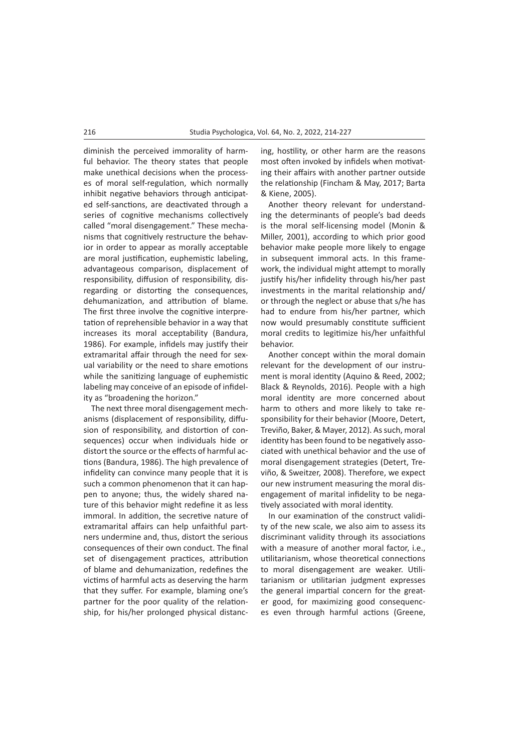diminish the perceived immorality of harmful behavior. The theory states that people make unethical decisions when the processes of moral self-regulation, which normally inhibit negative behaviors through anticipated self-sanctions, are deactivated through a series of cognitive mechanisms collectively called "moral disengagement." These mechanisms that cognitively restructure the behavior in order to appear as morally acceptable are moral justification, euphemistic labeling, advantageous comparison, displacement of responsibility, diffusion of responsibility, disregarding or distorting the consequences, dehumanization, and attribution of blame. The first three involve the cognitive interpretation of reprehensible behavior in a way that increases its moral acceptability (Bandura, 1986). For example, infidels may justify their extramarital affair through the need for sexual variability or the need to share emotions while the sanitizing language of euphemistic labeling may conceive of an episode of infidelity as "broadening the horizon."

The next three moral disengagement mechanisms (displacement of responsibility, diffusion of responsibility, and distortion of consequences) occur when individuals hide or distort the source or the effects of harmful actions (Bandura, 1986). The high prevalence of infidelity can convince many people that it is such a common phenomenon that it can happen to anyone; thus, the widely shared nature of this behavior might redefine it as less immoral. In addition, the secretive nature of extramarital affairs can help unfaithful partners undermine and, thus, distort the serious consequences of their own conduct. The final set of disengagement practices, attribution of blame and dehumanization, redefines the victims of harmful acts as deserving the harm that they suffer. For example, blaming one's partner for the poor quality of the relationship, for his/her prolonged physical distancing, hostility, or other harm are the reasons most often invoked by infidels when motivating their affairs with another partner outside the relationship (Fincham & May, 2017; Barta & Kiene, 2005).

Another theory relevant for understanding the determinants of people's bad deeds is the moral self-licensing model (Monin & Miller, 2001), according to which prior good behavior make people more likely to engage in subsequent immoral acts. In this framework, the individual might attempt to morally justify his/her infidelity through his/her past investments in the marital relationship and/ or through the neglect or abuse that s/he has had to endure from his/her partner, which now would presumably constitute sufficient moral credits to legitimize his/her unfaithful behavior.

Another concept within the moral domain relevant for the development of our instrument is moral identity (Aquino & Reed, 2002; Black & Reynolds, 2016). People with a high moral identity are more concerned about harm to others and more likely to take responsibility for their behavior (Moore, Detert, Treviño, Baker, & Mayer, 2012). As such, moral identity has been found to be negatively associated with unethical behavior and the use of moral disengagement strategies (Detert, Treviño, & Sweitzer, 2008). Therefore, we expect our new instrument measuring the moral disengagement of marital infidelity to be negatively associated with moral identity.

In our examination of the construct validity of the new scale, we also aim to assess its discriminant validity through its associations with a measure of another moral factor, i.e., utilitarianism, whose theoretical connections to moral disengagement are weaker. Utilitarianism or utilitarian judgment expresses the general impartial concern for the greater good, for maximizing good consequences even through harmful actions (Greene,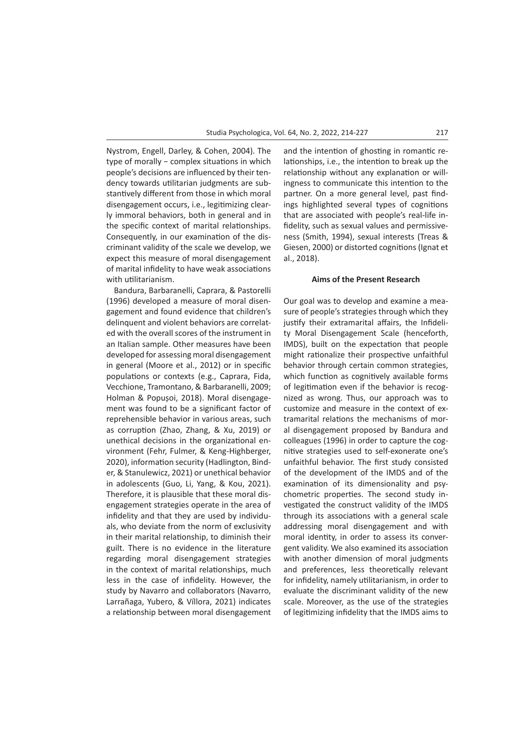Nystrom, Engell, Darley, & Cohen, 2004). The type of morally − complex situations in which people's decisions are influenced by their tendency towards utilitarian judgments are substantively different from those in which moral disengagement occurs, i.e., legitimizing clearly immoral behaviors, both in general and in the specific context of marital relationships. Consequently, in our examination of the discriminant validity of the scale we develop, we expect this measure of moral disengagement of marital infidelity to have weak associations with utilitarianism.

Bandura, Barbaranelli, Caprara, & Pastorelli (1996) developed a measure of moral disengagement and found evidence that children's delinquent and violent behaviors are correlated with the overall scores of the instrument in an Italian sample. Other measures have been developed for assessing moral disengagement in general (Moore et al., 2012) or in specific populations or contexts (e.g., Caprara, Fida, Vecchione, Tramontano, & Barbaranelli, 2009; Holman & Popușoi, 2018). Moral disengagement was found to be a significant factor of reprehensible behavior in various areas, such as corruption (Zhao, Zhang, & Xu, 2019) or unethical decisions in the organizational environment (Fehr, Fulmer, & Keng‐Highberger, 2020), information security (Hadlington, Binder, & Stanulewicz, 2021) or unethical behavior in adolescents (Guo, Li, Yang, & Kou, 2021). Therefore, it is plausible that these moral disengagement strategies operate in the area of infidelity and that they are used by individuals, who deviate from the norm of exclusivity in their marital relationship, to diminish their guilt. There is no evidence in the literature regarding moral disengagement strategies in the context of marital relationships, much less in the case of infidelity. However, the study by Navarro and collaborators (Navarro, Larrañaga, Yubero, & Víllora, 2021) indicates a relationship between moral disengagement

and the intention of ghosting in romantic relationships, i.e., the intention to break up the relationship without any explanation or willingness to communicate this intention to the partner. On a more general level, past findings highlighted several types of cognitions that are associated with people's real-life infidelity, such as sexual values and permissiveness (Smith, 1994), sexual interests (Treas & Giesen, 2000) or distorted cognitions (Ignat et al., 2018).

## **Aims of the Present Research**

Our goal was to develop and examine a measure of people's strategies through which they justify their extramarital affairs, the Infidelity Moral Disengagement Scale (henceforth, IMDS), built on the expectation that people might rationalize their prospective unfaithful behavior through certain common strategies, which function as cognitively available forms of legitimation even if the behavior is recognized as wrong. Thus, our approach was to customize and measure in the context of extramarital relations the mechanisms of moral disengagement proposed by Bandura and colleagues (1996) in order to capture the cognitive strategies used to self-exonerate one's unfaithful behavior. The first study consisted of the development of the IMDS and of the examination of its dimensionality and psychometric properties. The second study investigated the construct validity of the IMDS through its associations with a general scale addressing moral disengagement and with moral identity, in order to assess its convergent validity. We also examined its association with another dimension of moral judgments and preferences, less theoretically relevant for infidelity, namely utilitarianism, in order to evaluate the discriminant validity of the new scale. Moreover, as the use of the strategies of legitimizing infidelity that the IMDS aims to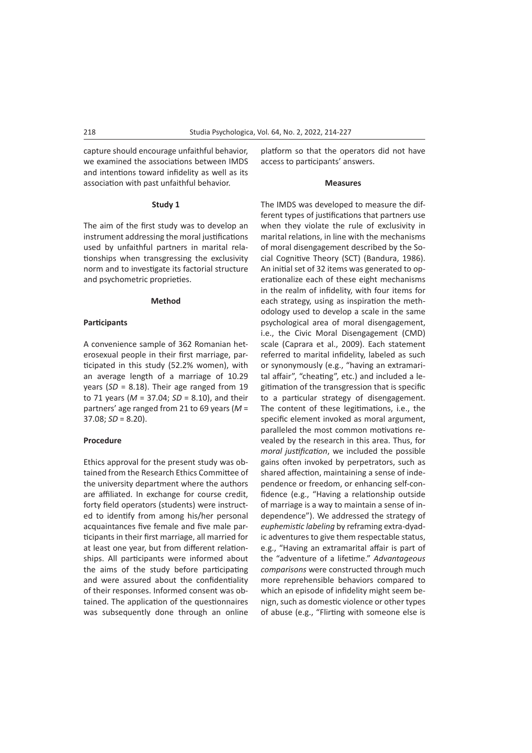capture should encourage unfaithful behavior, we examined the associations between IMDS and intentions toward infidelity as well as its association with past unfaithful behavior.

#### **Study 1**

The aim of the first study was to develop an instrument addressing the moral justifications used by unfaithful partners in marital relationships when transgressing the exclusivity norm and to investigate its factorial structure and psychometric proprieties.

## **Method**

## **Participants**

A convenience sample of 362 Romanian heterosexual people in their first marriage, participated in this study (52.2% women), with an average length of a marriage of 10.29 years (*SD* = 8.18). Their age ranged from 19 to 71 years (*M* = 37.04; *SD* = 8.10), and their partners' age ranged from 21 to 69 years (*M* =  $37.08$ ;  $SD = 8.20$ ).

## **Procedure**

Ethics approval for the present study was obtained from the Research Ethics Committee of the university department where the authors are affiliated. In exchange for course credit, forty field operators (students) were instructed to identify from among his/her personal acquaintances five female and five male participants in their first marriage, all married for at least one year, but from different relationships. All participants were informed about the aims of the study before participating and were assured about the confidentiality of their responses. Informed consent was obtained. The application of the questionnaires was subsequently done through an online platform so that the operators did not have access to participants' answers.

## **Measures**

The IMDS was developed to measure the different types of justifications that partners use when they violate the rule of exclusivity in marital relations, in line with the mechanisms of moral disengagement described by the Social Cognitive Theory (SCT) (Bandura, 1986). An initial set of 32 items was generated to operationalize each of these eight mechanisms in the realm of infidelity, with four items for each strategy, using as inspiration the methodology used to develop a scale in the same psychological area of moral disengagement, i.e., the Civic Moral Disengagement (CMD) scale (Caprara et al., 2009). Each statement referred to marital infidelity, labeled as such or synonymously (e.g., "having an extramarital affair", "cheating", etc.) and included a legitimation of the transgression that is specific to a particular strategy of disengagement. The content of these legitimations, i.e., the specific element invoked as moral argument, paralleled the most common motivations revealed by the research in this area. Thus, for *moral justification*, we included the possible gains often invoked by perpetrators, such as shared affection, maintaining a sense of independence or freedom, or enhancing self-confidence (e.g., "Having a relationship outside of marriage is a way to maintain a sense of independence"). We addressed the strategy of *euphemistic labeling* by reframing extra-dyadic adventures to give them respectable status, e.g., "Having an extramarital affair is part of the "adventure of a lifetime." *Advantageous comparisons* were constructed through much more reprehensible behaviors compared to which an episode of infidelity might seem benign, such as domestic violence or other types of abuse (e.g., "Flirting with someone else is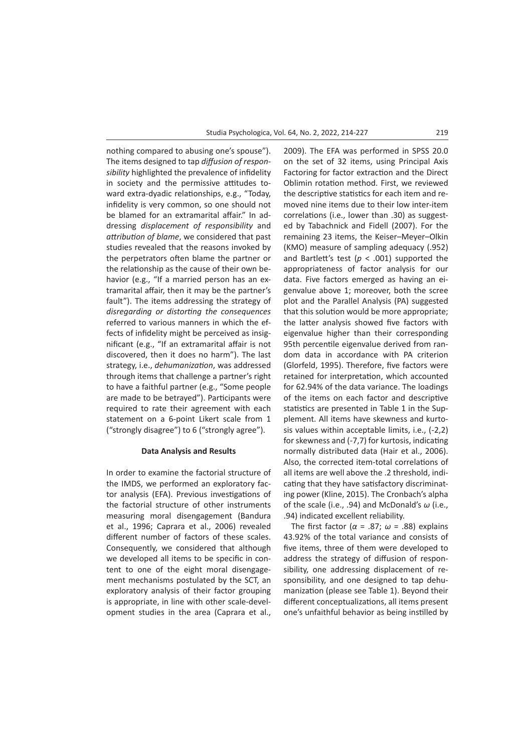nothing compared to abusing one's spouse"). The items designed to tap *diffusion of responsibility* highlighted the prevalence of infidelity in society and the permissive attitudes toward extra-dyadic relationships, e.g., "Today, infidelity is very common, so one should not be blamed for an extramarital affair." In addressing *displacement of responsibility* and *attribution of blame*, we considered that past studies revealed that the reasons invoked by the perpetrators often blame the partner or the relationship as the cause of their own behavior (e.g., "If a married person has an extramarital affair, then it may be the partner's fault"). The items addressing the strategy of *disregarding or distorting the consequences* referred to various manners in which the effects of infidelity might be perceived as insignificant (e.g., "If an extramarital affair is not discovered, then it does no harm"). The last strategy, i.e., *dehumanization*, was addressed through items that challenge a partner's right to have a faithful partner (e.g., "Some people are made to be betrayed"). Participants were required to rate their agreement with each statement on a 6-point Likert scale from 1 ("strongly disagree") to 6 ("strongly agree").

## **Data Analysis and Results**

In order to examine the factorial structure of the IMDS, we performed an exploratory factor analysis (EFA). Previous investigations of the factorial structure of other instruments measuring moral disengagement (Bandura et al., 1996; Caprara et al., 2006) revealed different number of factors of these scales. Consequently, we considered that although we developed all items to be specific in content to one of the eight moral disengagement mechanisms postulated by the SCT, an exploratory analysis of their factor grouping is appropriate, in line with other scale-development studies in the area (Caprara et al., 2009). The EFA was performed in SPSS 20.0 on the set of 32 items, using Principal Axis Factoring for factor extraction and the Direct Oblimin rotation method. First, we reviewed the descriptive statistics for each item and removed nine items due to their low inter-item correlations (i.e., lower than .30) as suggested by Tabachnick and Fidell (2007). For the remaining 23 items, the Keiser–Meyer–Olkin (KMO) measure of sampling adequacy (.952) and Bartlett's test ( $p < .001$ ) supported the appropriateness of factor analysis for our data. Five factors emerged as having an eigenvalue above 1; moreover, both the scree plot and the Parallel Analysis (PA) suggested that this solution would be more appropriate; the latter analysis showed five factors with eigenvalue higher than their corresponding 95th percentile eigenvalue derived from random data in accordance with PA criterion (Glorfeld, 1995). Therefore, five factors were retained for interpretation, which accounted for 62.94% of the data variance. The loadings of the items on each factor and descriptive statistics are presented in Table 1 in the Supplement. All items have skewness and kurtosis values within acceptable limits, i.e., (-2,2) for skewness and (-7,7) for kurtosis, indicating normally distributed data (Hair et al., 2006). Also, the corrected item-total correlations of all items are well above the .2 threshold, indicating that they have satisfactory discriminating power (Kline, 2015). The Cronbach's alpha of the scale (i.e., .94) and McDonald's *ω* (i.e., .94) indicated excellent reliability.

The first factor (*α* = .87; *ω* = .88) explains 43.92% of the total variance and consists of five items, three of them were developed to address the strategy of diffusion of responsibility, one addressing displacement of responsibility, and one designed to tap dehumanization (please see Table 1). Beyond their different conceptualizations, all items present one's unfaithful behavior as being instilled by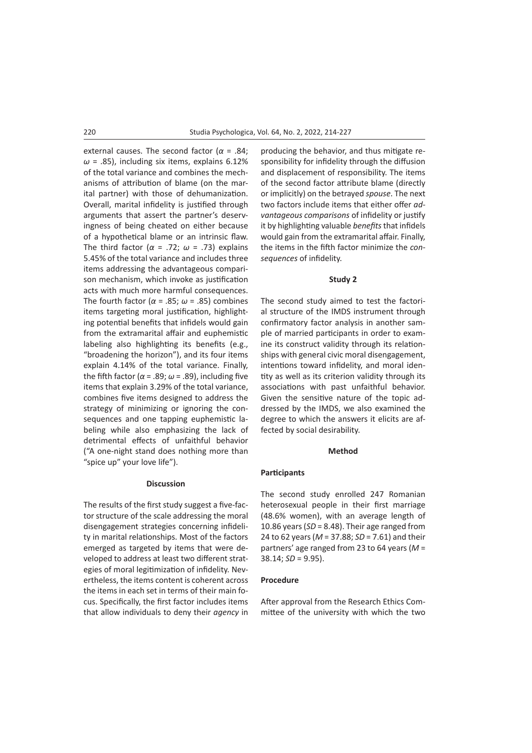external causes. The second factor (*α* = .84;  $\omega$  = .85), including six items, explains 6.12% of the total variance and combines the mechanisms of attribution of blame (on the marital partner) with those of dehumanization. Overall, marital infidelity is justified through arguments that assert the partner's deservingness of being cheated on either because of a hypothetical blame or an intrinsic flaw. The third factor (*α* = .72; *ω* = .73) explains 5.45% of the total variance and includes three items addressing the advantageous comparison mechanism, which invoke as justification acts with much more harmful consequences. The fourth factor (*α* = .85; *ω* = .85) combines items targeting moral justification, highlighting potential benefits that infidels would gain from the extramarital affair and euphemistic labeling also highlighting its benefits (e.g., "broadening the horizon"), and its four items explain 4.14% of the total variance. Finally, the fifth factor ( $\alpha$  = .89;  $\omega$  = .89), including five items that explain 3.29% of the total variance, combines five items designed to address the strategy of minimizing or ignoring the consequences and one tapping euphemistic labeling while also emphasizing the lack of detrimental effects of unfaithful behavior ("A one-night stand does nothing more than "spice up" your love life").

## **Discussion**

The results of the first study suggest a five-factor structure of the scale addressing the moral disengagement strategies concerning infidelity in marital relationships. Most of the factors emerged as targeted by items that were developed to address at least two different strategies of moral legitimization of infidelity. Nevertheless, the items content is coherent across the items in each set in terms of their main focus. Specifically, the first factor includes items that allow individuals to deny their *agency* in producing the behavior, and thus mitigate responsibility for infidelity through the diffusion and displacement of responsibility. The items of the second factor attribute blame (directly or implicitly) on the betrayed *spouse*. The next two factors include items that either offer *advantageous comparisons* of infidelity or justify it by highlighting valuable *benefits* that infidels would gain from the extramarital affair. Finally, the items in the fifth factor minimize the *consequences* of infidelity.

## **Study 2**

The second study aimed to test the factorial structure of the IMDS instrument through confirmatory factor analysis in another sample of married participants in order to examine its construct validity through its relationships with general civic moral disengagement, intentions toward infidelity, and moral identity as well as its criterion validity through its associations with past unfaithful behavior. Given the sensitive nature of the topic addressed by the IMDS, we also examined the degree to which the answers it elicits are affected by social desirability.

#### **Method**

## **Participants**

The second study enrolled 247 Romanian heterosexual people in their first marriage (48.6% women), with an average length of 10.86 years (*SD* = 8.48). Their age ranged from 24 to 62 years (*M* = 37.88; *SD* = 7.61) and their partners' age ranged from 23 to 64 years (*M* = 38.14; *SD* = 9.95).

#### **Procedure**

After approval from the Research Ethics Committee of the university with which the two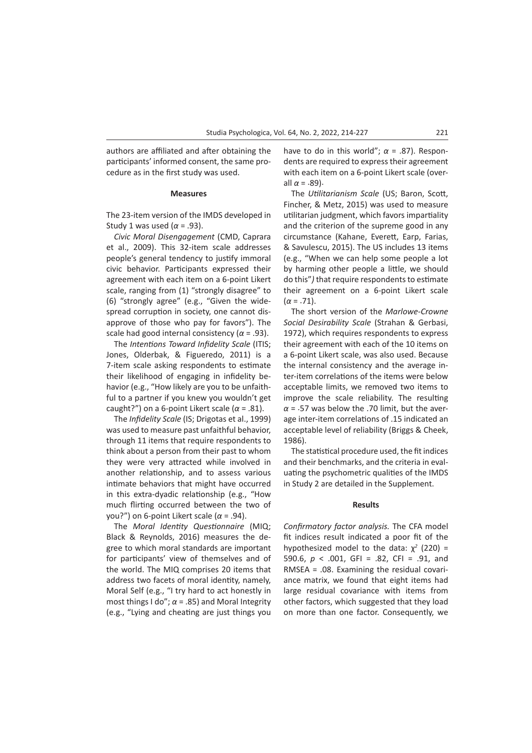authors are affiliated and after obtaining the participants' informed consent, the same procedure as in the first study was used.

## **Measures**

The 23-item version of the IMDS developed in Study 1 was used (*α* = .93).

*Civic Moral Disengagement* (CMD, Caprara et al., 2009). This 32-item scale addresses people's general tendency to justify immoral civic behavior. Participants expressed their agreement with each item on a 6-point Likert scale, ranging from (1) "strongly disagree" to (6) "strongly agree" (e.g., "Given the widespread corruption in society, one cannot disapprove of those who pay for favors"). The scale had good internal consistency ( $\alpha$  = .93).

The *Intentions Toward Infidelity Scale* (ITIS; Jones, Olderbak, & Figueredo, 2011) is a 7-item scale asking respondents to estimate their likelihood of engaging in infidelity behavior (e.g., "How likely are you to be unfaithful to a partner if you knew you wouldn't get caught?") on a 6-point Likert scale (*α* = .81).

The *Infidelity Scale* (IS; Drigotas et al., 1999) was used to measure past unfaithful behavior, through 11 items that require respondents to think about a person from their past to whom they were very attracted while involved in another relationship, and to assess various intimate behaviors that might have occurred in this extra-dyadic relationship (e.g., "How much flirting occurred between the two of you?") on 6-point Likert scale (*α* = .94).

The *Moral Identity Questionnaire* (MIQ; Black & Reynolds, 2016) measures the degree to which moral standards are important for participants' view of themselves and of the world. The MIQ comprises 20 items that address two facets of moral identity, namely, Moral Self (e.g., "I try hard to act honestly in most things I do";  $\alpha$  = .85) and Moral Integrity (e.g., "Lying and cheating are just things you have to do in this world";  $\alpha$  = .87). Respondents are required to express their agreement with each item on a 6-point Likert scale (overall *α* = .89).

The *Utilitarianism Scale* (US; Baron, Scott, Fincher, & Metz, 2015) was used to measure utilitarian judgment, which favors impartiality and the criterion of the supreme good in any circumstance (Kahane, Everett, Earp, Farias, & Savulescu, 2015). The US includes 13 items (e.g., "When we can help some people a lot by harming other people a little, we should do this"*)* that require respondents to estimate their agreement on a 6-point Likert scale  $(\alpha = .71)$ .

The short version of the *Marlowe-Crowne Social Desirability Scale* (Strahan & Gerbasi, 1972), which requires respondents to express their agreement with each of the 10 items on a 6-point Likert scale, was also used. Because the internal consistency and the average inter-item correlations of the items were below acceptable limits, we removed two items to improve the scale reliability. The resulting  $\alpha$  = .57 was below the .70 limit, but the average inter-item correlations of .15 indicated an acceptable level of reliability (Briggs & Cheek, 1986).

The statistical procedure used, the fit indices and their benchmarks, and the criteria in evaluating the psychometric qualities of the IMDS in Study 2 are detailed in the Supplement.

## **Results**

*Confirmatory factor analysis.* The CFA model fit indices result indicated a poor fit of the hypothesized model to the data:  $χ²$  (220) = 590.6, *p* < .001, GFI = .82, CFI = .91, and RMSEA = .08. Examining the residual covariance matrix, we found that eight items had large residual covariance with items from other factors, which suggested that they load on more than one factor. Consequently, we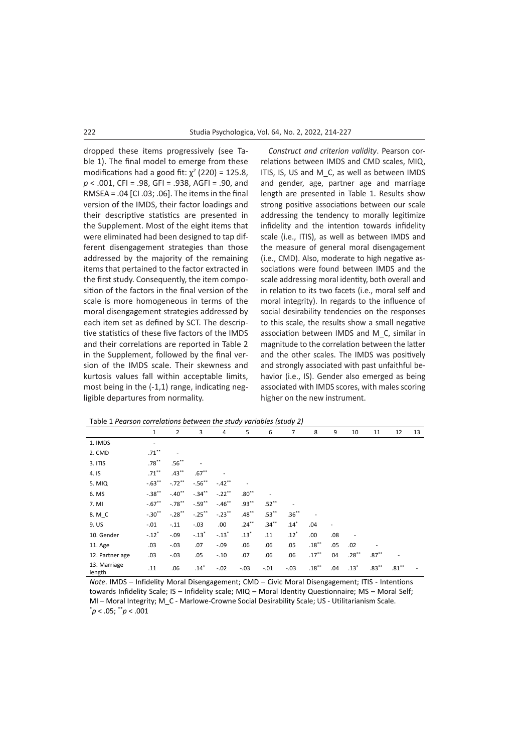dropped these items progressively (see Table 1). The final model to emerge from these modifications had a good fit:  $\chi^2$  (220) = 125.8, *p* < .001, CFI = .98, GFI = .938, AGFI = .90, and RMSEA = .04 [CI .03; .06]. The items in the final version of the IMDS, their factor loadings and their descriptive statistics are presented in the Supplement. Most of the eight items that were eliminated had been designed to tap different disengagement strategies than those addressed by the majority of the remaining items that pertained to the factor extracted in the first study. Consequently, the item composition of the factors in the final version of the scale is more homogeneous in terms of the moral disengagement strategies addressed by each item set as defined by SCT. The descriptive statistics of these five factors of the IMDS and their correlations are reported in Table 2 in the Supplement, followed by the final version of the IMDS scale. Their skewness and kurtosis values fall within acceptable limits, most being in the (-1,1) range, indicating negligible departures from normality.

*Construct and criterion validity*. Pearson correlations between IMDS and CMD scales, MIQ, ITIS, IS, US and M C, as well as between IMDS and gender, age, partner age and marriage length are presented in Table 1. Results show strong positive associations between our scale addressing the tendency to morally legitimize infidelity and the intention towards infidelity scale (i.e., ITIS), as well as between IMDS and the measure of general moral disengagement (i.e., CMD). Also, moderate to high negative associations were found between IMDS and the scale addressing moral identity, both overall and in relation to its two facets (i.e., moral self and moral integrity). In regards to the influence of social desirability tendencies on the responses to this scale, the results show a small negative association between IMDS and M\_C, similar in magnitude to the correlation between the latter and the other scales. The IMDS was positively and strongly associated with past unfaithful behavior (i.e., IS). Gender also emerged as being associated with IMDS scores, with males scoring higher on the new instrument.

|                        | $\mathbf 1$    | $\overline{2}$ | 3          | 4          | 5        | 6        | 7        | 8                        | 9   | 10       | 11       | 12       | 13 |
|------------------------|----------------|----------------|------------|------------|----------|----------|----------|--------------------------|-----|----------|----------|----------|----|
| 1. IMDS                | $\overline{a}$ |                |            |            |          |          |          |                          |     |          |          |          |    |
| 2. CMD                 | $.71***$       | ۰              |            |            |          |          |          |                          |     |          |          |          |    |
| 3. ITIS                | $.78***$       | $.56***$       |            |            |          |          |          |                          |     |          |          |          |    |
| 4. IS                  | $.71***$       | $.43***$       | $.67***$   |            |          |          |          |                          |     |          |          |          |    |
| 5. MIQ                 | $-.63**$       | $-.72***$      | $-0.56$ ** | $-.42***$  |          |          |          |                          |     |          |          |          |    |
| 6. MS                  | $-.38$ **      | $-40^{**}$     | $-.34$ **  | $-.22***$  | $.80**$  |          |          |                          |     |          |          |          |    |
| 7. MI                  | $-.67**$       | $-.78$ **      | $-.59$ **  | $-46^{**}$ | $.93***$ | $.52***$ |          |                          |     |          |          |          |    |
| 8. M C                 | $-.30**$       | $-.28***$      | $-.25***$  | $-.23***$  | $.48***$ | $.53***$ | $.36***$ | $\overline{\phantom{a}}$ |     |          |          |          |    |
| 9. US                  | $-.01$         | $-.11$         | $-.03$     | .00        | $.24***$ | $.34***$ | $.14*$   | .04                      | ٠   |          |          |          |    |
| 10. Gender             | $-.12"$        | $-0.09$        | $-.13"$    | $-.13"$    | $.13*$   | .11      | $.12*$   | .00.                     | .08 |          |          |          |    |
| 11. Age                | .03            | $-.03$         | .07        | $-.09$     | .06      | .06      | .05      | $.18***$                 | .05 | .02      |          |          |    |
| 12. Partner age        | .03            | $-.03$         | .05        | $-.10$     | .07      | .06      | .06      | $.17***$                 | 04  | $.28***$ | $.87***$ | ٠        |    |
| 13. Marriage<br>length | .11            | .06            | $.14*$     | $-.02$     | $-.03$   | $-.01$   | $-.03$   | $.18***$                 | .04 | $.13*$   | $.83***$ | $.81***$ |    |

*Note*. IMDS – Infidelity Moral Disengagement; CMD – Civic Moral Disengagement; ITIS - Intentions towards Infidelity Scale; IS – Infidelity scale; MIQ – Moral Identity Questionnaire; MS – Moral Self; MI – Moral Integrity; M\_C - Marlowe-Crowne Social Desirability Scale; US - Utilitarianism Scale. \* *p* < .05; \*\**p* < .001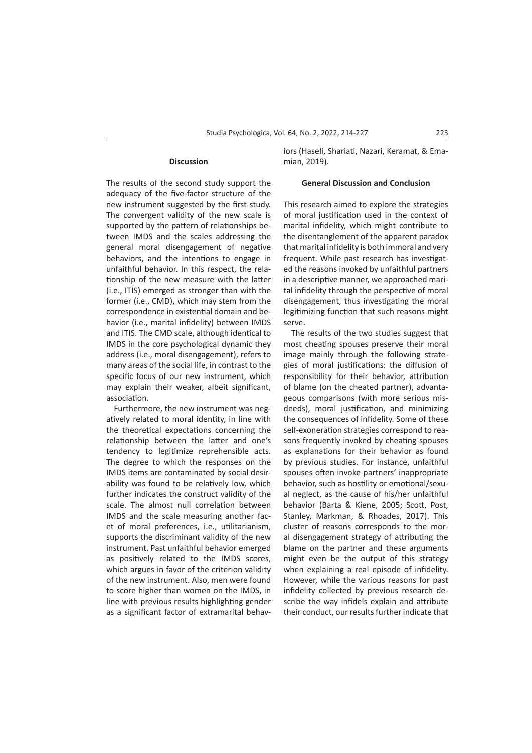#### **Discussion**

The results of the second study support the adequacy of the five-factor structure of the new instrument suggested by the first study. The convergent validity of the new scale is supported by the pattern of relationships between IMDS and the scales addressing the general moral disengagement of negative behaviors, and the intentions to engage in unfaithful behavior. In this respect, the relationship of the new measure with the latter (i.e., ITIS) emerged as stronger than with the former (i.e., CMD), which may stem from the correspondence in existential domain and behavior (i.e., marital infidelity) between IMDS and ITIS. The CMD scale, although identical to IMDS in the core psychological dynamic they address (i.e., moral disengagement), refers to many areas of the social life, in contrast to the specific focus of our new instrument, which may explain their weaker, albeit significant, association.

Furthermore, the new instrument was negatively related to moral identity, in line with the theoretical expectations concerning the relationship between the latter and one's tendency to legitimize reprehensible acts. The degree to which the responses on the IMDS items are contaminated by social desirability was found to be relatively low, which further indicates the construct validity of the scale. The almost null correlation between IMDS and the scale measuring another facet of moral preferences, i.e., utilitarianism, supports the discriminant validity of the new instrument. Past unfaithful behavior emerged as positively related to the IMDS scores, which argues in favor of the criterion validity of the new instrument. Also, men were found to score higher than women on the IMDS, in line with previous results highlighting gender as a significant factor of extramarital behaviors (Haseli, Shariati, Nazari, Keramat, & Emamian, 2019).

#### **General Discussion and Conclusion**

This research aimed to explore the strategies of moral justification used in the context of marital infidelity, which might contribute to the disentanglement of the apparent paradox that marital infidelity is both immoral and very frequent. While past research has investigated the reasons invoked by unfaithful partners in a descriptive manner, we approached marital infidelity through the perspective of moral disengagement, thus investigating the moral legitimizing function that such reasons might serve.

The results of the two studies suggest that most cheating spouses preserve their moral image mainly through the following strategies of moral justifications: the diffusion of responsibility for their behavior, attribution of blame (on the cheated partner), advantageous comparisons (with more serious misdeeds), moral justification, and minimizing the consequences of infidelity. Some of these self-exoneration strategies correspond to reasons frequently invoked by cheating spouses as explanations for their behavior as found by previous studies. For instance, unfaithful spouses often invoke partners' inappropriate behavior, such as hostility or emotional/sexual neglect, as the cause of his/her unfaithful behavior (Barta & Kiene, 2005; Scott, Post, Stanley, Markman, & Rhoades, 2017). This cluster of reasons corresponds to the moral disengagement strategy of attributing the blame on the partner and these arguments might even be the output of this strategy when explaining a real episode of infidelity. However, while the various reasons for past infidelity collected by previous research describe the way infidels explain and attribute their conduct, our results further indicate that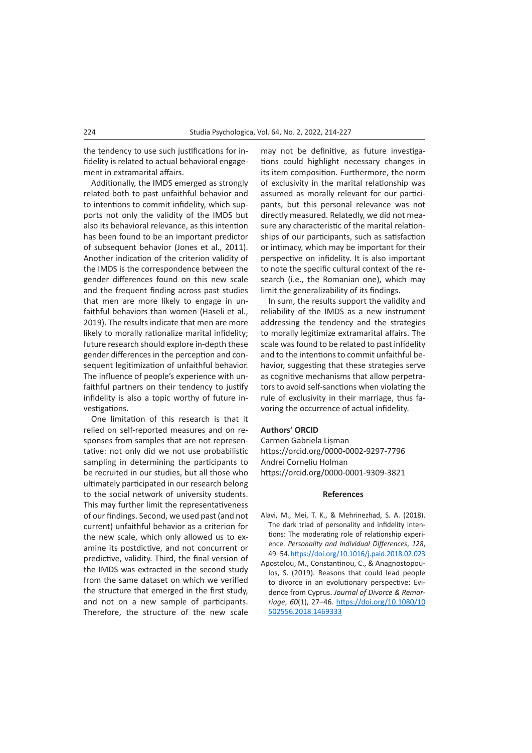the tendency to use such justifications for infidelity is related to actual behavioral engagement in extramarital affairs.

Additionally, the IMDS emerged as strongly related both to past unfaithful behavior and to intentions to commit infidelity, which supports not only the validity of the IMDS but also its behavioral relevance, as this intention has been found to be an important predictor of subsequent behavior (Jones et al., 2011). Another indication of the criterion validity of the IMDS is the correspondence between the gender differences found on this new scale and the frequent finding across past studies that men are more likely to engage in unfaithful behaviors than women (Haseli et al., 2019). The results indicate that men are more likely to morally rationalize marital infidelity; future research should explore in-depth these gender differences in the perception and consequent legitimization of unfaithful behavior. The influence of people's experience with unfaithful partners on their tendency to justify infidelity is also a topic worthy of future investigations.

One limitation of this research is that it relied on self-reported measures and on responses from samples that are not representative: not only did we not use probabilistic sampling in determining the participants to be recruited in our studies, but all those who ultimately participated in our research belong to the social network of university students. This may further limit the representativeness of our findings. Second, we used past (and not current) unfaithful behavior as a criterion for the new scale, which only allowed us to examine its postdictive, and not concurrent or predictive, validity. Third, the final version of the IMDS was extracted in the second study from the same dataset on which we verified the structure that emerged in the first study, and not on a new sample of participants. Therefore, the structure of the new scale

may not be definitive, as future investigations could highlight necessary changes in its item composition. Furthermore, the norm of exclusivity in the marital relationship was assumed as morally relevant for our participants, but this personal relevance was not directly measured. Relatedly, we did not measure any characteristic of the marital relationships of our participants, such as satisfaction or intimacy, which may be important for their perspective on infidelity. It is also important to note the specific cultural context of the research (i.e., the Romanian one), which may limit the generalizability of its findings.

In sum, the results support the validity and reliability of the IMDS as a new instrument addressing the tendency and the strategies to morally legitimize extramarital affairs. The scale was found to be related to past infidelity and to the intentions to commit unfaithful behavior, suggesting that these strategies serve as cognitive mechanisms that allow perpetrators to avoid self-sanctions when violating the rule of exclusivity in their marriage, thus favoring the occurrence of actual infidelity.

## **Authors' ORCID**

Carmen Gabriela Lișman https://orcid.org/0000-0002-9297-7796 Andrei Corneliu Holman https://orcid.org/0000-0001-9309-3821

## **References**

- Alavi, M., Mei, T. K., & Mehrinezhad, S. A. (2018). The dark triad of personality and infidelity intentions: The moderating role of relationship experience. *Personality and Individual Differences*, *128*, 49–54.<https://doi.org/10.1016/j.paid.2018.02.023>
- Apostolou, M., Constantinou, C., & Anagnostopoulos, S. (2019). Reasons that could lead people to divorce in an evolutionary perspective: Evidence from Cyprus. *Journal of Divorce & Remarriage*, *60*(1), 27–46. [https://doi.org/10.1080/10](https://doi.org/10.1080/10502556.2018.1469333) [502556.2018.1469333](https://doi.org/10.1080/10502556.2018.1469333)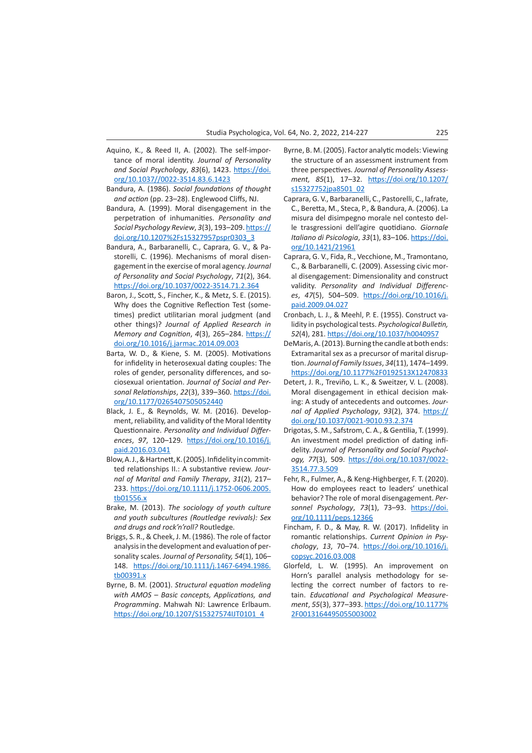- Aquino, K., & Reed II, A. (2002). The self-importance of moral identity. *Journal of Personality and Social Psychology*, *83*(6), 1423. [https://doi.](https://doi.org/10.1037//0022-3514.83.6.1423) [org/10.1037//0022-3514.83.6.1423](https://doi.org/10.1037//0022-3514.83.6.1423)
- Bandura, A. (1986). *Social foundations of thought and action* (pp. 23–28). Englewood Cliffs, NJ.
- Bandura, A. (1999). Moral disengagement in the perpetration of inhumanities. *Personality and Social Psychology Review*, *3*(3), 193–209. [https://](https://doi.org/10.1207%2Fs15327957pspr0303_3) [doi.org/10.1207%2Fs15327957pspr0303\\_3](https://doi.org/10.1207%2Fs15327957pspr0303_3)
- Bandura, A., Barbaranelli, C., Caprara, G. V., & Pastorelli, C. (1996). Mechanisms of moral disengagement in the exercise of moral agency. *Journal of Personality and Social Psychology*, *71*(2), 364. <https://doi.org/10.1037/0022-3514.71.2.364>
- Baron, J., Scott, S., Fincher, K., & Metz, S. E. (2015). Why does the Cognitive Reflection Test (sometimes) predict utilitarian moral judgment (and other things)? *Journal of Applied Research in Memory and Cognition*, *4*(3), 265–284. [https://](https://doi.org/10.1016/j.jarmac.2014.09.003) [doi.org/10.1016/j.jarmac.2014.09.003](https://doi.org/10.1016/j.jarmac.2014.09.003)
- Barta, W. D., & Kiene, S. M. (2005). Motivations for infidelity in heterosexual dating couples: The roles of gender, personality differences, and sociosexual orientation. *Journal of Social and Personal Relationships*, *22*(3), 339–360. [https://doi.](https://doi.org/10.1177/0265407505052440) [org/10.1177/0265407505052440](https://doi.org/10.1177/0265407505052440)
- Black, J. E., & Reynolds, W. M. (2016). Development, reliability, and validity of the Moral Identity Questionnaire. *Personality and Individual Differences*, *97*, 120–129. [https://doi.org/10.1016/j.](https://doi.org/10.1016/j.paid.2016.03.041) [paid.2016.03.041](https://doi.org/10.1016/j.paid.2016.03.041)
- Blow, A. J., & Hartnett, K. (2005). Infidelity in committed relationships II.: A substantive review. *Journal of Marital and Family Therapy*, *31*(2), 217– 233. [https://doi.org/10.1111/j.1752-0606.2005.](https://doi.org/10.1111/j.1752-0606.2005.tb01556.x) [tb01556.x](https://doi.org/10.1111/j.1752-0606.2005.tb01556.x)
- Brake, M. (2013). *The sociology of youth culture and youth subcultures (Routledge revivals): Sex and drugs and rock'n'roll?* Routledge.
- Briggs, S. R., & Cheek, J. M. (1986). The role of factor analysis in the development and evaluation of personality scales. *Journal of Personality, 54*(1), 106– 148. [https://doi.org/10.1111/j.1467-6494.1986.](https://doi.org/10.1111/j.1467-6494.1986.tb00391.x) [tb00391.x](https://doi.org/10.1111/j.1467-6494.1986.tb00391.x)
- Byrne, B. M. (2001). *Structural equation modeling with AMOS* – *Basic concepts, Applications, and Programming*. Mahwah NJ: Lawrence Erlbaum. [https://doi.org/10.1207/S15327574IJT0101\\_4](https://doi.org/10.1207/S15327574IJT0101_4)
- Byrne, B. M. (2005). Factor analytic models: Viewing the structure of an assessment instrument from three perspectives. *Journal of Personality Assessment, 85*(1), 17–32. [https://doi.org/10.1207/](https://doi.org/10.1207/s15327752jpa8501_02) [s15327752jpa8501\\_02](https://doi.org/10.1207/s15327752jpa8501_02)
- Caprara, G. V., Barbaranelli, C., Pastorelli, C., Iafrate, C., Beretta, M., Steca, P., & Bandura, A. (2006). La misura del disimpegno morale nel contesto delle trasgressioni dell'agire quotidiano. *Giornale Italiano di Psicologia*, *33*(1), 83–106. [https://doi.](https://doi.org/10.1421/21961) [org/10.1421/21961](https://doi.org/10.1421/21961)
- Caprara, G. V., Fida, R., Vecchione, M., Tramontano, C., & Barbaranelli, C. (2009). Assessing civic moral disengagement: Dimensionality and construct validity. *Personality and Individual Differences*, *47*(5), 504–509. [https://doi.org/10.1016/j.](https://doi.org/10.1016/j.paid.2009.04.027) [paid.2009.04.027](https://doi.org/10.1016/j.paid.2009.04.027)
- Cronbach, L. J., & Meehl, P. E. (1955). Construct validity in psychological tests. *Psychological Bulletin, 52*(4), 281. <https://doi.org/10.1037/h0040957>
- DeMaris, A. (2013). Burning the candle at both ends: Extramarital sex as a precursor of marital disruption.*Journal of Family Issues*, *34*(11), 1474–1499. <https://doi.org/10.1177%2F0192513X12470833>
- Detert, J. R., Treviño, L. K., & Sweitzer, V. L. (2008). Moral disengagement in ethical decision making: A study of antecedents and outcomes. *Journal of Applied Psychology*, *93*(2), 374. [https://](https://doi.org/10.1037/0021-9010.93.2.374) [doi.org/10.1037/0021-9010.93.2.374](https://doi.org/10.1037/0021-9010.93.2.374)
- Drigotas, S. M., Safstrom, C. A., & Gentilia, T. (1999). An investment model prediction of dating infidelity. *Journal of Personality and Social Psychology, 77*(3), 509. [https://doi.org/10.1037/0022-](https://doi.org/10.1037/0022-3514.77.3.509) [3514.77.3.509](https://doi.org/10.1037/0022-3514.77.3.509)
- Fehr, R., Fulmer, A., & Keng‐Highberger, F. T. (2020). How do employees react to leaders' unethical behavior? The role of moral disengagement. *Personnel Psychology*, *73*(1), 73–93. [https://doi.](https://doi.org/10.1111/peps.12366) [org/10.1111/peps.12366](https://doi.org/10.1111/peps.12366)
- Fincham, F. D., & May, R. W. (2017). Infidelity in romantic relationships. *Current Opinion in Psychology*, *13*, 70–74. [https://doi.org/10.1016/j.](https://doi.org/10.1016/j.copsyc.2016.03.008) [copsyc.2016.03.008](https://doi.org/10.1016/j.copsyc.2016.03.008)
- Glorfeld, L. W. (1995). An improvement on Horn's parallel analysis methodology for selecting the correct number of factors to retain. *Educational and Psychological Measurement*, *55*(3), 377–393. [https://doi.org/10.1177%](https://doi.org/10.1177%2F0013164495055003002) [2F0013164495055003002](https://doi.org/10.1177%2F0013164495055003002)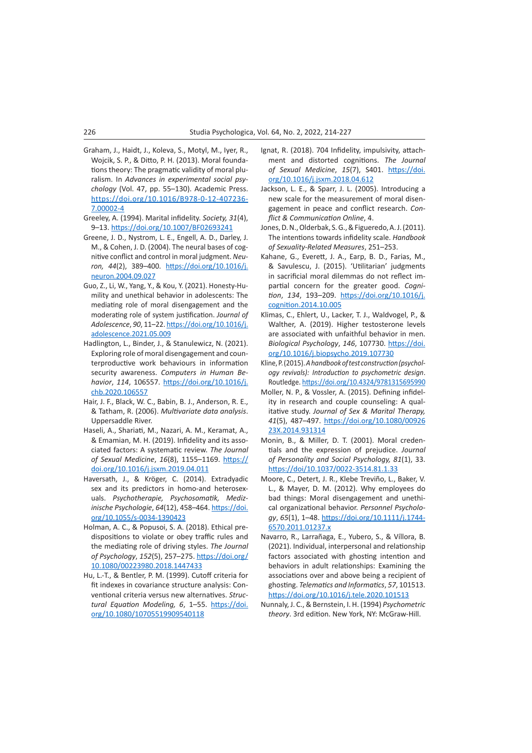- Graham, J., Haidt, J., Koleva, S., Motyl, M., Iyer, R., Wojcik, S. P., & Ditto, P. H. (2013). Moral foundations theory: The pragmatic validity of moral pluralism. In *Advances in experimental social psychology* (Vol. 47, pp. 55–130). Academic Press. [https://doi.org/10.1016/B978-0-12-407236-](https://doi.org/10.1016/B978-0-12-407236-7.00002-4) [7.00002-4](https://doi.org/10.1016/B978-0-12-407236-7.00002-4)
- Greeley, A. (1994). Marital infidelity. *Society, 31*(4), 9–13. <https://doi.org/10.1007/BF02693241>
- Greene, J. D., Nystrom, L. E., Engell, A. D., Darley, J. M., & Cohen, J. D. (2004). The neural bases of cognitive conflict and control in moral judgment. *Neuron, 44*(2), 389–400. [https://doi.org/10.1016/j.](https://doi.org/10.1016/j.neuron.2004.09.027) [neuron.2004.09.027](https://doi.org/10.1016/j.neuron.2004.09.027)
- Guo, Z., Li, W., Yang, Y., & Kou, Y. (2021). Honesty-Humility and unethical behavior in adolescents: The mediating role of moral disengagement and the moderating role of system justification. *Journal of Adolescence*, *90*, 11–22. [https://doi.org/10.1016/j.](https://doi.org/10.1016/j.adolescence.2021.05.009) [adolescence.2021.05.009](https://doi.org/10.1016/j.adolescence.2021.05.009)
- Hadlington, L., Binder, J., & Stanulewicz, N. (2021). Exploring role of moral disengagement and counterproductive work behaviours in information security awareness. *Computers in Human Behavior*, *114*, 106557. [https://doi.org/10.1016/j.](https://doi.org/10.1016/j.chb.2020.106557) [chb.2020.106557](https://doi.org/10.1016/j.chb.2020.106557)
- Hair, J. F., Black, W. C., Babin, B. J., Anderson, R. E., & Tatham, R. (2006). *Multivariate data analysis*. Uppersaddle River.
- Haseli, A., Shariati, M., Nazari, A. M., Keramat, A., & Emamian, M. H. (2019). Infidelity and its associated factors: A systematic review. *The Journal of Sexual Medicine*, *16*(8), 1155–1169. [https://](https://doi.org/10.1016/j.jsxm.2019.04.011) [doi.org/10.1016/j.jsxm.2019.04.011](https://doi.org/10.1016/j.jsxm.2019.04.011)
- Haversath, J., & Kröger, C. (2014). Extradyadic sex and its predictors in homo-and heterosexuals. *Psychotherapie, Psychosomatik, Medizinische Psychologie*, *64*(12), 458–464. [https://doi.](https://doi.org/10.1055/s-0034-1390423) [org/10.1055/s-0034-1390423](https://doi.org/10.1055/s-0034-1390423)
- Holman, A. C., & Popusoi, S. A. (2018). Ethical predispositions to violate or obey traffic rules and the mediating role of driving styles. *The Journal of Psychology*, *152*(5), 257–275. [https://doi.org/](https://doi.org/10.1080/00223980.2018.1447433) [10.1080/00223980.2018.1447433](https://doi.org/10.1080/00223980.2018.1447433)
- Hu, L.-T., & Bentler, P. M. (1999). Cutoff criteria for fit indexes in covariance structure analysis: Conventional criteria versus new alternatives. *Structural Equation Modeling, 6*, 1–55. [https://doi.](https://doi.org/10.1080/10705519909540118) [org/10.1080/10705519909540118](https://doi.org/10.1080/10705519909540118)
- Ignat, R. (2018). 704 Infidelity, impulsivity, attachment and distorted cognitions. *The Journal of Sexual Medicine*, *15*(7), S401. [https://doi.](https://doi.org/10.1016/j.jsxm.2018.04.612) [org/10.1016/j.jsxm.2018.04.612](https://doi.org/10.1016/j.jsxm.2018.04.612)
- Jackson, L. E., & Sparr, J. L. (2005). Introducing a new scale for the measurement of moral disengagement in peace and conflict research. *Conflict & Communication Online*, 4.
- Jones, D. N., Olderbak, S. G., & Figueredo, A. J. (2011). The intentions towards infidelity scale. *Handbook of Sexuality-Related Measures*, 251–253.
- Kahane, G., Everett, J. A., Earp, B. D., Farias, M., & Savulescu, J. (2015). 'Utilitarian' judgments in sacrificial moral dilemmas do not reflect impartial concern for the greater good. *Cognition*, *134*, 193–209. [https://doi.org/10.1016/j.](https://doi.org/10.1016/j.cognition.2014.10.005) [cognition.2014.10.005](https://doi.org/10.1016/j.cognition.2014.10.005)
- Klimas, C., Ehlert, U., Lacker, T. J., Waldvogel, P., & Walther, A. (2019). Higher testosterone levels are associated with unfaithful behavior in men. *Biological Psychology*, *146*, 107730. [https://doi.](https://doi.org/10.1016/j.biopsycho.2019.107730) [org/10.1016/j.biopsycho.2019.107730](https://doi.org/10.1016/j.biopsycho.2019.107730)
- Kline, P. (2015). *A handbook of test construction (psychology revivals): Introduction to psychometric design*. Routledge.<https://doi.org/10.4324/9781315695990>
- Moller, N. P., & Vossler, A. (2015). Defining infidelity in research and couple counseling: A qualitative study. *Journal of Sex & Marital Therapy, 41*(5), 487–497. [https://doi.org/10.1080/00926](https://doi.org/10.1080/0092623X.2014.931314) [23X.2014.931314](https://doi.org/10.1080/0092623X.2014.931314)
- Monin, B., & Miller, D. T. (2001). Moral credentials and the expression of prejudice. *Journal of Personality and Social Psychology, 81*(1), 33. <https://doi/10.1037/0022-3514.81.1.33>
- Moore, C., Detert, J. R., Klebe Treviño, L., Baker, V. L., & Mayer, D. M. (2012). Why employees do bad things: Moral disengagement and unethical organizational behavior. *Personnel Psychology*, *65*(1), 1–48. [https://doi.org/10.1111/j.1744-](https://doi.org/10.1111/j.1744-6570.2011.01237.x) [6570.2011.01237.x](https://doi.org/10.1111/j.1744-6570.2011.01237.x)
- Navarro, R., Larrañaga, E., Yubero, S., & Víllora, B. (2021). Individual, interpersonal and relationship factors associated with ghosting intention and behaviors in adult relationships: Examining the associations over and above being a recipient of ghosting. *Telematics and Informatics*, *57*, 101513. <https://doi.org/10.1016/j.tele.2020.101513>
- Nunnaly, J. C., & Bernstein, I. H. (1994) *Psychometric theory*. 3rd edition. New York, NY: McGraw-Hill.